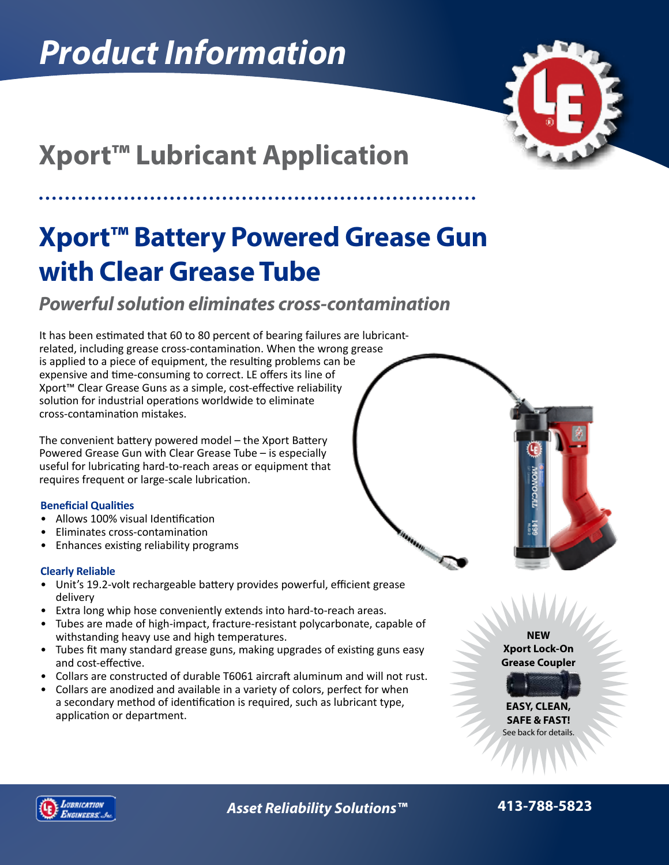

# **Xport™ Lubricant Application**

## **Xport™ Battery Powered Grease Gun with Clear Grease Tube**

### *Powerful solution eliminates cross-contamination*

It has been estimated that 60 to 80 percent of bearing failures are lubricantrelated, including grease cross-contamination. When the wrong grease is applied to a piece of equipment, the resulting problems can be expensive and time-consuming to correct. LE offers its line of Xport™ Clear Grease Guns as a simple, cost-effective reliability solution for industrial operations worldwide to eliminate cross-contamination mistakes.

The convenient battery powered model – the Xport Battery Powered Grease Gun with Clear Grease Tube – is especially useful for lubricating hard-to-reach areas or equipment that requires frequent or large-scale lubrication.

### **Beneficial Qualities**

- Allows 100% visual Identification
- Eliminates cross-contamination
- Enhances existing reliability programs

### **Clearly Reliable**

- Unit's 19.2-volt rechargeable battery provides powerful, efficient grease delivery
- Extra long whip hose conveniently extends into hard-to-reach areas.
- Tubes are made of high-impact, fracture-resistant polycarbonate, capable of withstanding heavy use and high temperatures.
- Tubes fit many standard grease guns, making upgrades of existing guns easy and cost-effective.
- Collars are constructed of durable T6061 aircraft aluminum and will not rust.
- Collars are anodized and available in a variety of colors, perfect for when a secondary method of identification is required, such as lubricant type, application or department.

**NEW Xport Lock-On Grease Coupler**

**EASY, CLEAN, SAFE & FAST!** See back for details.



*Asset Reliability Solutions™* **413-788-5823**